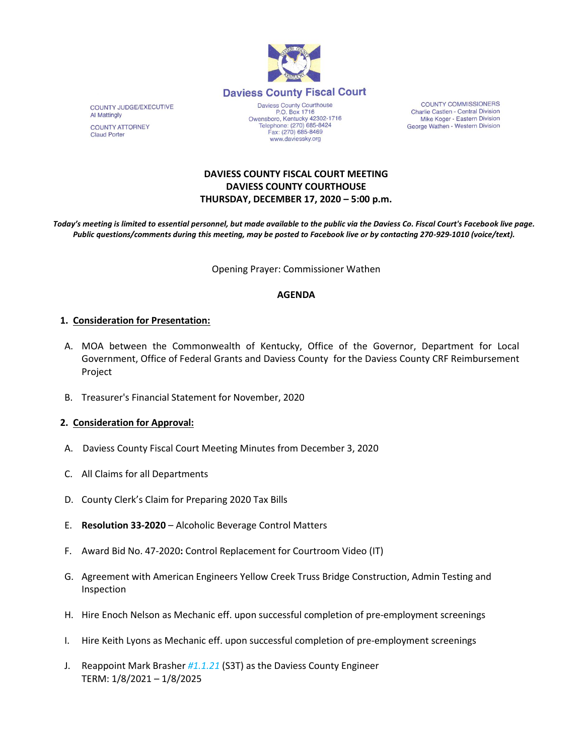

Daviess County Courthouse P.O. Box 1716<br>Owensboro, Kentucky 42302-1716 Telephone: (270) 685-8424 Fax: (270) 685-8469 www.daviessky.org

**COUNTY COMMISSIONERS** Charlie Castlen - Central Division<br>Mike Koger - Eastern Division George Wathen - Western Division

**DAVIESS COUNTY FISCAL COURT MEETING DAVIESS COUNTY COURTHOUSE THURSDAY, DECEMBER 17, 2020 – 5:00 p.m.** 

*Today's meeting is limited to essential personnel, but made available to the public via the Daviess Co. Fiscal Court's Facebook live page. Public questions/comments during this meeting, may be posted to Facebook live or by contacting 270-929-1010 (voice/text).*

Opening Prayer: Commissioner Wathen

### **AGENDA**

### **1. Consideration for Presentation:**

- A. MOA between the Commonwealth of Kentucky, Office of the Governor, Department for Local Government, Office of Federal Grants and Daviess County for the Daviess County CRF Reimbursement Project
- B. Treasurer's Financial Statement for November, 2020

### **2. Consideration for Approval:**

- A. Daviess County Fiscal Court Meeting Minutes from December 3, 2020
- C. All Claims for all Departments
- D. County Clerk's Claim for Preparing 2020 Tax Bills
- E. **Resolution 33-2020** Alcoholic Beverage Control Matters
- F. Award Bid No. 47-2020**:** Control Replacement for Courtroom Video (IT)
- G. Agreement with American Engineers Yellow Creek Truss Bridge Construction, Admin Testing and Inspection
- H. Hire Enoch Nelson as Mechanic eff. upon successful completion of pre-employment screenings
- I. Hire Keith Lyons as Mechanic eff. upon successful completion of pre-employment screenings
- J. Reappoint Mark Brasher *#1.1.21* (S3T) as the Daviess County Engineer TERM: 1/8/2021 – 1/8/2025

COUNTY JUDGE/EXECUTIVE Al Mattingly **COUNTY ATTORNEY Claud Porter**